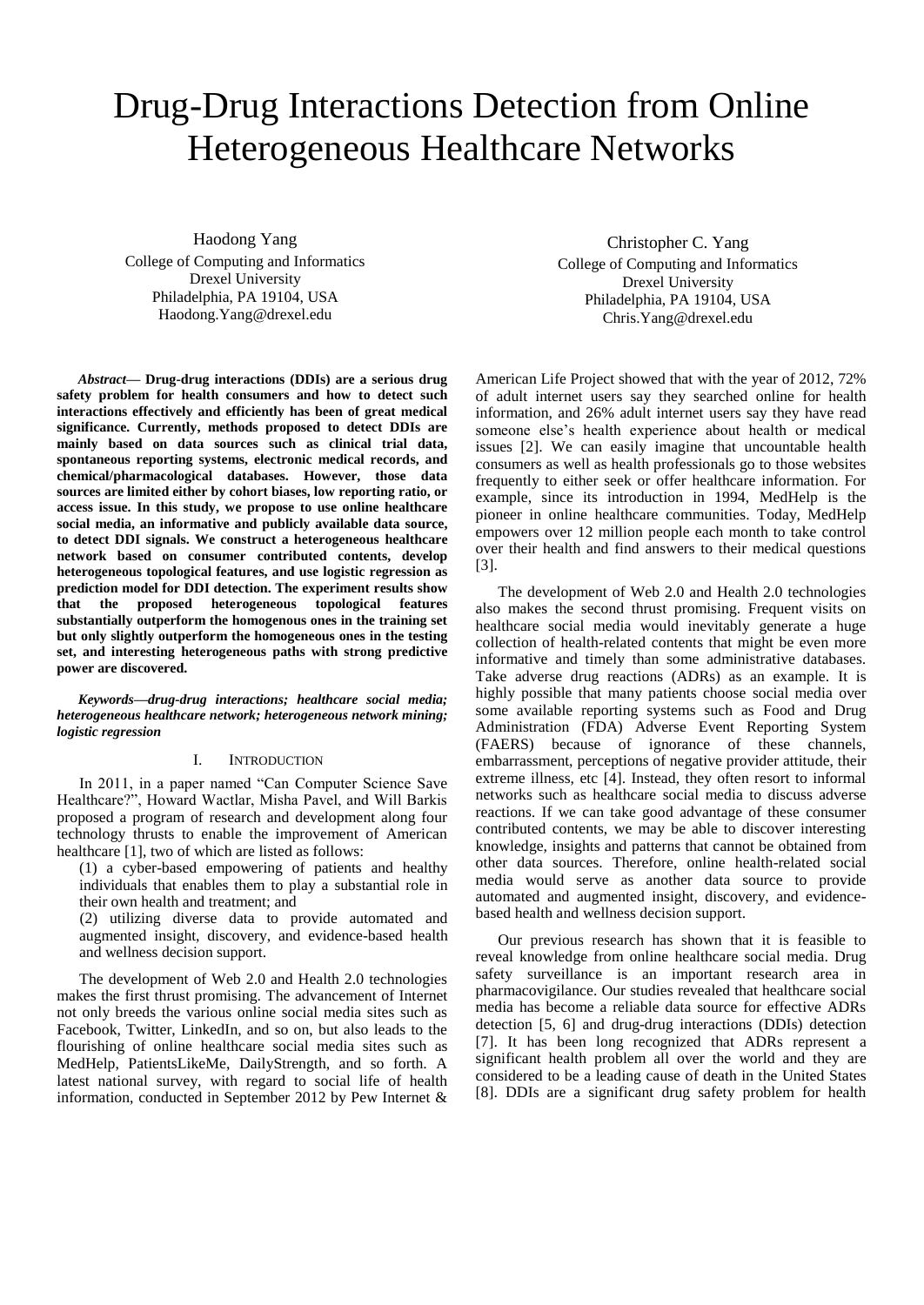# Drug-Drug Interactions Detection from Online Heterogeneous Healthcare Networks

Haodong Yang College of Computing and Informatics Drexel University Philadelphia, PA 19104, USA Haodong.Yang@drexel.edu

*Abstract***— Drug-drug interactions (DDIs) are a serious drug safety problem for health consumers and how to detect such interactions effectively and efficiently has been of great medical significance. Currently, methods proposed to detect DDIs are mainly based on data sources such as clinical trial data, spontaneous reporting systems, electronic medical records, and chemical/pharmacological databases. However, those data sources are limited either by cohort biases, low reporting ratio, or access issue. In this study, we propose to use online healthcare social media, an informative and publicly available data source, to detect DDI signals. We construct a heterogeneous healthcare network based on consumer contributed contents, develop heterogeneous topological features, and use logistic regression as prediction model for DDI detection. The experiment results show that the proposed heterogeneous topological features substantially outperform the homogenous ones in the training set but only slightly outperform the homogeneous ones in the testing set, and interesting heterogeneous paths with strong predictive power are discovered.**

*Keywords—drug-drug interactions; healthcare social media; heterogeneous healthcare network; heterogeneous network mining; logistic regression*

#### I. INTRODUCTION

In 2011, in a paper named "Can Computer Science Save Healthcare?", Howard Wactlar, Misha Pavel, and Will Barkis proposed a program of research and development along four technology thrusts to enable the improvement of American healthcare [1], two of which are listed as follows:

(1) a cyber-based empowering of patients and healthy individuals that enables them to play a substantial role in their own health and treatment; and

 (2) utilizing diverse data to provide automated and augmented insight, discovery, and evidence-based health and wellness decision support.

The development of Web 2.0 and Health 2.0 technologies makes the first thrust promising. The advancement of Internet not only breeds the various online social media sites such as Facebook, Twitter, LinkedIn, and so on, but also leads to the flourishing of online healthcare social media sites such as MedHelp, PatientsLikeMe, DailyStrength, and so forth. A latest national survey, with regard to social life of health information, conducted in September 2012 by Pew Internet &

Christopher C. Yang College of Computing and Informatics Drexel University Philadelphia, PA 19104, USA Chris.Yang@drexel.edu

American Life Project showed that with the year of 2012, 72% of adult internet users say they searched online for health information, and 26% adult internet users say they have read someone else's health experience about health or medical issues [2]. We can easily imagine that uncountable health consumers as well as health professionals go to those websites frequently to either seek or offer healthcare information. For example, since its introduction in 1994, MedHelp is the pioneer in online healthcare communities. Today, MedHelp empowers over 12 million people each month to take control over their health and find answers to their medical questions [3].

The development of Web 2.0 and Health 2.0 technologies also makes the second thrust promising. Frequent visits on healthcare social media would inevitably generate a huge collection of health-related contents that might be even more informative and timely than some administrative databases. Take adverse drug reactions (ADRs) as an example. It is highly possible that many patients choose social media over some available reporting systems such as Food and Drug Administration (FDA) Adverse Event Reporting System (FAERS) because of ignorance of these channels, embarrassment, perceptions of negative provider attitude, their extreme illness, etc [4]. Instead, they often resort to informal networks such as healthcare social media to discuss adverse reactions. If we can take good advantage of these consumer contributed contents, we may be able to discover interesting knowledge, insights and patterns that cannot be obtained from other data sources. Therefore, online health-related social media would serve as another data source to provide automated and augmented insight, discovery, and evidencebased health and wellness decision support.

Our previous research has shown that it is feasible to reveal knowledge from online healthcare social media. Drug safety surveillance is an important research area in pharmacovigilance. Our studies revealed that healthcare social media has become a reliable data source for effective ADRs detection [5, 6] and drug-drug interactions (DDIs) detection [7]. It has been long recognized that ADRs represent a significant health problem all over the world and they are considered to be a leading cause of death in the United States [8]. DDIs are a significant drug safety problem for health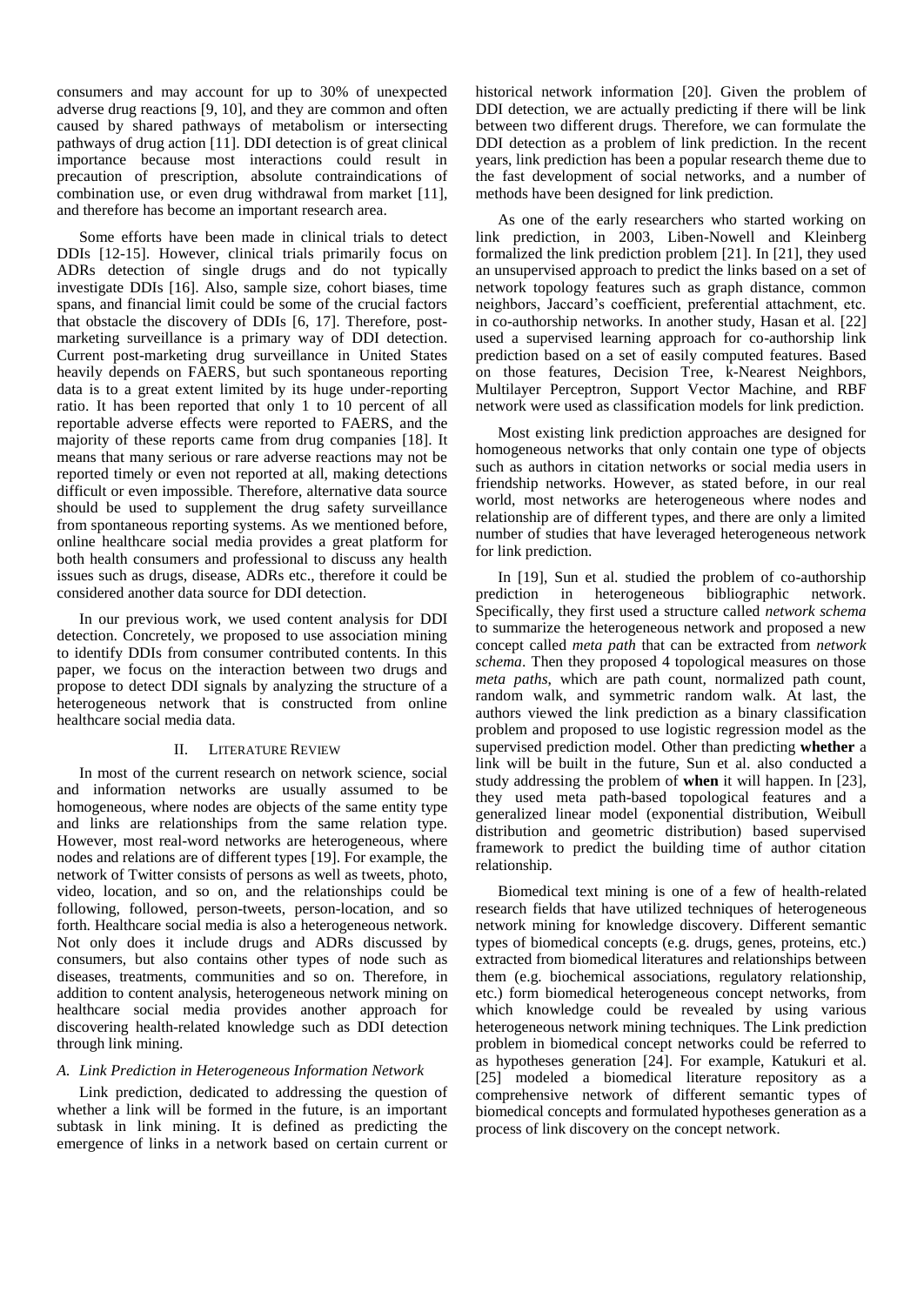consumers and may account for up to 30% of unexpected adverse drug reactions [9, 10], and they are common and often caused by shared pathways of metabolism or intersecting pathways of drug action [11]. DDI detection is of great clinical importance because most interactions could result in precaution of prescription, absolute contraindications of combination use, or even drug withdrawal from market [11], and therefore has become an important research area.

Some efforts have been made in clinical trials to detect DDIs [12-15]. However, clinical trials primarily focus on ADRs detection of single drugs and do not typically investigate DDIs [16]. Also, sample size, cohort biases, time spans, and financial limit could be some of the crucial factors that obstacle the discovery of DDIs [6, 17]. Therefore, postmarketing surveillance is a primary way of DDI detection. Current post-marketing drug surveillance in United States heavily depends on FAERS, but such spontaneous reporting data is to a great extent limited by its huge under-reporting ratio. It has been reported that only 1 to 10 percent of all reportable adverse effects were reported to FAERS, and the majority of these reports came from drug companies [18]. It means that many serious or rare adverse reactions may not be reported timely or even not reported at all, making detections difficult or even impossible. Therefore, alternative data source should be used to supplement the drug safety surveillance from spontaneous reporting systems. As we mentioned before, online healthcare social media provides a great platform for both health consumers and professional to discuss any health issues such as drugs, disease, ADRs etc., therefore it could be considered another data source for DDI detection.

In our previous work, we used content analysis for DDI detection. Concretely, we proposed to use association mining to identify DDIs from consumer contributed contents. In this paper, we focus on the interaction between two drugs and propose to detect DDI signals by analyzing the structure of a heterogeneous network that is constructed from online healthcare social media data.

## II. LITERATURE REVIEW

In most of the current research on network science, social and information networks are usually assumed to be homogeneous, where nodes are objects of the same entity type and links are relationships from the same relation type. However, most real-word networks are heterogeneous, where nodes and relations are of different types [19]. For example, the network of Twitter consists of persons as well as tweets, photo, video, location, and so on, and the relationships could be following, followed, person-tweets, person-location, and so forth. Healthcare social media is also a heterogeneous network. Not only does it include drugs and ADRs discussed by consumers, but also contains other types of node such as diseases, treatments, communities and so on. Therefore, in addition to content analysis, heterogeneous network mining on healthcare social media provides another approach for discovering health-related knowledge such as DDI detection through link mining.

### *A. Link Prediction in Heterogeneous Information Network*

Link prediction, dedicated to addressing the question of whether a link will be formed in the future, is an important subtask in link mining. It is defined as predicting the emergence of links in a network based on certain current or historical network information [20]. Given the problem of DDI detection, we are actually predicting if there will be link between two different drugs. Therefore, we can formulate the DDI detection as a problem of link prediction. In the recent years, link prediction has been a popular research theme due to the fast development of social networks, and a number of methods have been designed for link prediction.

As one of the early researchers who started working on link prediction, in 2003, Liben-Nowell and Kleinberg formalized the link prediction problem [21]. In [21], they used an unsupervised approach to predict the links based on a set of network topology features such as graph distance, common neighbors, Jaccard's coefficient, preferential attachment, etc. in co-authorship networks. In another study, Hasan et al. [22] used a supervised learning approach for co-authorship link prediction based on a set of easily computed features. Based on those features, Decision Tree, k-Nearest Neighbors, Multilayer Perceptron, Support Vector Machine, and RBF network were used as classification models for link prediction.

Most existing link prediction approaches are designed for homogeneous networks that only contain one type of objects such as authors in citation networks or social media users in friendship networks. However, as stated before, in our real world, most networks are heterogeneous where nodes and relationship are of different types, and there are only a limited number of studies that have leveraged heterogeneous network for link prediction.

In [19], Sun et al. studied the problem of co-authorship prediction in heterogeneous bibliographic network. Specifically, they first used a structure called *network schema* to summarize the heterogeneous network and proposed a new concept called *meta path* that can be extracted from *network schema*. Then they proposed 4 topological measures on those *meta paths*, which are path count, normalized path count, random walk, and symmetric random walk. At last, the authors viewed the link prediction as a binary classification problem and proposed to use logistic regression model as the supervised prediction model. Other than predicting **whether** a link will be built in the future, Sun et al. also conducted a study addressing the problem of **when** it will happen. In [23], they used meta path-based topological features and a generalized linear model (exponential distribution, Weibull distribution and geometric distribution) based supervised framework to predict the building time of author citation relationship.

Biomedical text mining is one of a few of health-related research fields that have utilized techniques of heterogeneous network mining for knowledge discovery. Different semantic types of biomedical concepts (e.g. drugs, genes, proteins, etc.) extracted from biomedical literatures and relationships between them (e.g. biochemical associations, regulatory relationship, etc.) form biomedical heterogeneous concept networks, from which knowledge could be revealed by using various heterogeneous network mining techniques. The Link prediction problem in biomedical concept networks could be referred to as hypotheses generation [24]. For example, Katukuri et al. [25] modeled a biomedical literature repository as a comprehensive network of different semantic types of biomedical concepts and formulated hypotheses generation as a process of link discovery on the concept network.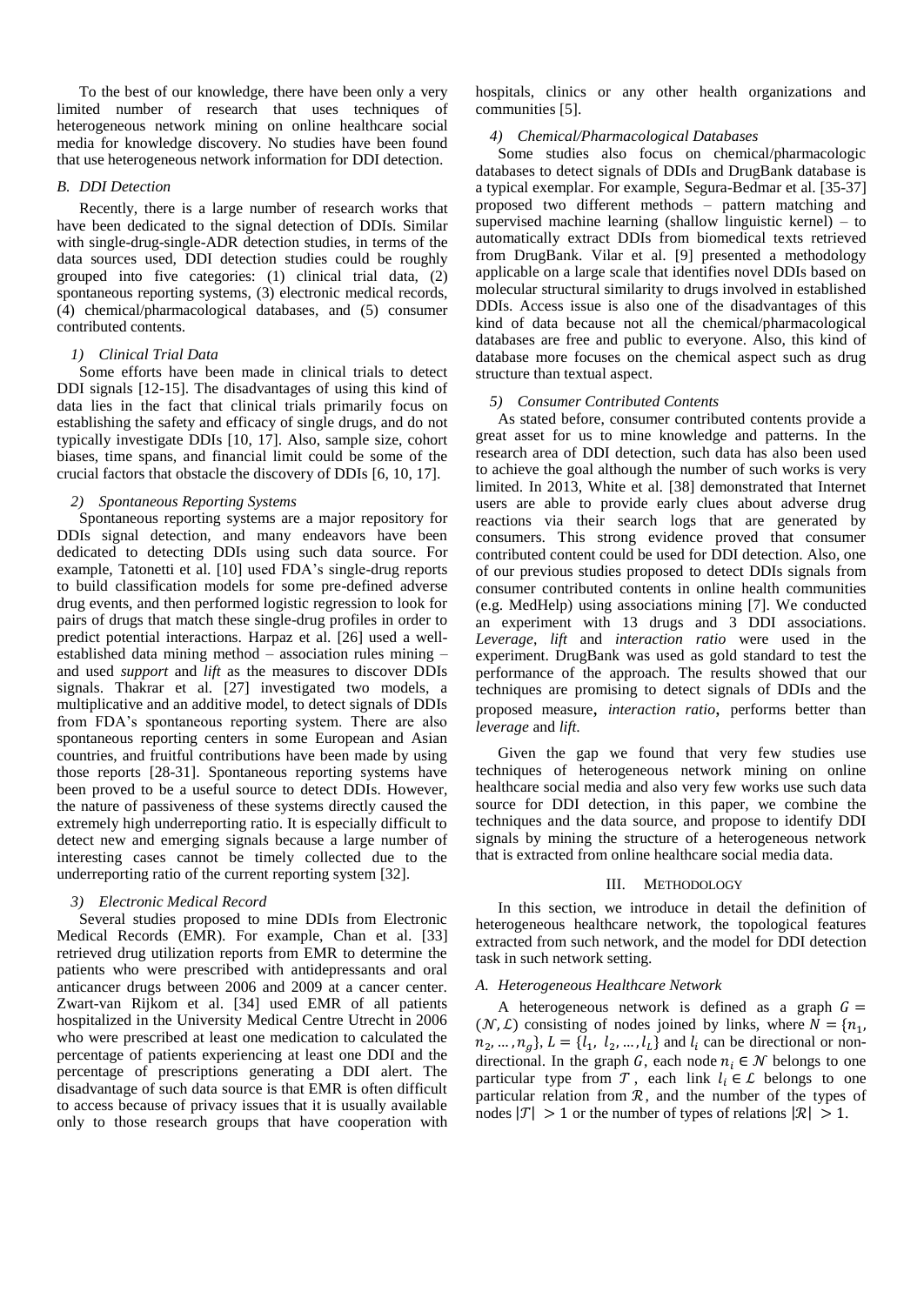To the best of our knowledge, there have been only a very limited number of research that uses techniques of heterogeneous network mining on online healthcare social media for knowledge discovery. No studies have been found that use heterogeneous network information for DDI detection.

## *B. DDI Detection*

Recently, there is a large number of research works that have been dedicated to the signal detection of DDIs. Similar with single-drug-single-ADR detection studies, in terms of the data sources used, DDI detection studies could be roughly grouped into five categories: (1) clinical trial data, (2) spontaneous reporting systems, (3) electronic medical records, (4) chemical/pharmacological databases, and (5) consumer contributed contents.

## *1) Clinical Trial Data*

Some efforts have been made in clinical trials to detect DDI signals [12-15]. The disadvantages of using this kind of data lies in the fact that clinical trials primarily focus on establishing the safety and efficacy of single drugs, and do not typically investigate DDIs [10, 17]. Also, sample size, cohort biases, time spans, and financial limit could be some of the crucial factors that obstacle the discovery of DDIs [6, 10, 17].

## *2) Spontaneous Reporting Systems*

Spontaneous reporting systems are a major repository for DDIs signal detection, and many endeavors have been dedicated to detecting DDIs using such data source. For example, Tatonetti et al. [10] used FDA's single-drug reports to build classification models for some pre-defined adverse drug events, and then performed logistic regression to look for pairs of drugs that match these single-drug profiles in order to predict potential interactions. Harpaz et al. [26] used a wellestablished data mining method – association rules mining – and used *support* and *lift* as the measures to discover DDIs signals. Thakrar et al. [27] investigated two models, a multiplicative and an additive model, to detect signals of DDIs from FDA's spontaneous reporting system. There are also spontaneous reporting centers in some European and Asian countries, and fruitful contributions have been made by using those reports [28-31]. Spontaneous reporting systems have been proved to be a useful source to detect DDIs. However, the nature of passiveness of these systems directly caused the extremely high underreporting ratio. It is especially difficult to detect new and emerging signals because a large number of interesting cases cannot be timely collected due to the underreporting ratio of the current reporting system [32].

## *3) Electronic Medical Record*

Several studies proposed to mine DDIs from Electronic Medical Records (EMR). For example, Chan et al. [33] retrieved drug utilization reports from EMR to determine the patients who were prescribed with antidepressants and oral anticancer drugs between 2006 and 2009 at a cancer center. Zwart-van Rijkom et al. [34] used EMR of all patients hospitalized in the University Medical Centre Utrecht in 2006 who were prescribed at least one medication to calculated the percentage of patients experiencing at least one DDI and the percentage of prescriptions generating a DDI alert. The disadvantage of such data source is that EMR is often difficult to access because of privacy issues that it is usually available only to those research groups that have cooperation with

hospitals, clinics or any other health organizations and communities [5].

## *4) Chemical/Pharmacological Databases*

Some studies also focus on chemical/pharmacologic databases to detect signals of DDIs and DrugBank database is a typical exemplar. For example, Segura-Bedmar et al. [35-37] proposed two different methods – pattern matching and supervised machine learning (shallow linguistic kernel) – to automatically extract DDIs from biomedical texts retrieved from DrugBank. Vilar et al. [9] presented a methodology applicable on a large scale that identifies novel DDIs based on molecular structural similarity to drugs involved in established DDIs. Access issue is also one of the disadvantages of this kind of data because not all the chemical/pharmacological databases are free and public to everyone. Also, this kind of database more focuses on the chemical aspect such as drug structure than textual aspect.

# *5) Consumer Contributed Contents*

As stated before, consumer contributed contents provide a great asset for us to mine knowledge and patterns. In the research area of DDI detection, such data has also been used to achieve the goal although the number of such works is very limited. In 2013, White et al. [38] demonstrated that Internet users are able to provide early clues about adverse drug reactions via their search logs that are generated by consumers. This strong evidence proved that consumer contributed content could be used for DDI detection. Also, one of our previous studies proposed to detect DDIs signals from consumer contributed contents in online health communities (e.g. MedHelp) using associations mining [7]. We conducted an experiment with 13 drugs and 3 DDI associations. *Leverage*, *lift* and *interaction ratio* were used in the experiment. DrugBank was used as gold standard to test the performance of the approach. The results showed that our techniques are promising to detect signals of DDIs and the proposed measure, *interaction ratio*, performs better than *leverage* and *lift*.

Given the gap we found that very few studies use techniques of heterogeneous network mining on online healthcare social media and also very few works use such data source for DDI detection, in this paper, we combine the techniques and the data source, and propose to identify DDI signals by mining the structure of a heterogeneous network that is extracted from online healthcare social media data.

#### III. METHODOLOGY

In this section, we introduce in detail the definition of heterogeneous healthcare network, the topological features extracted from such network, and the model for DDI detection task in such network setting.

#### *A. Heterogeneous Healthcare Network*

A heterogeneous network is defined as a graph  $G =$  $(N, L)$  consisting of nodes joined by links, where  $N = \{n_1, n_2\}$  $n_2, \ldots, n_a$ ,  $L = \{l_1, l_2, \ldots, l_b\}$  and  $l_i$  can be directional or nondirectional. In the graph G, each node  $n_i \in \mathcal{N}$  belongs to one particular type from  $T$ , each link  $l_i \in \mathcal{L}$  belongs to one particular relation from  $\mathcal{R}$ , and the number of the types of nodes  $|T| > 1$  or the number of types of relations  $|R| > 1$ .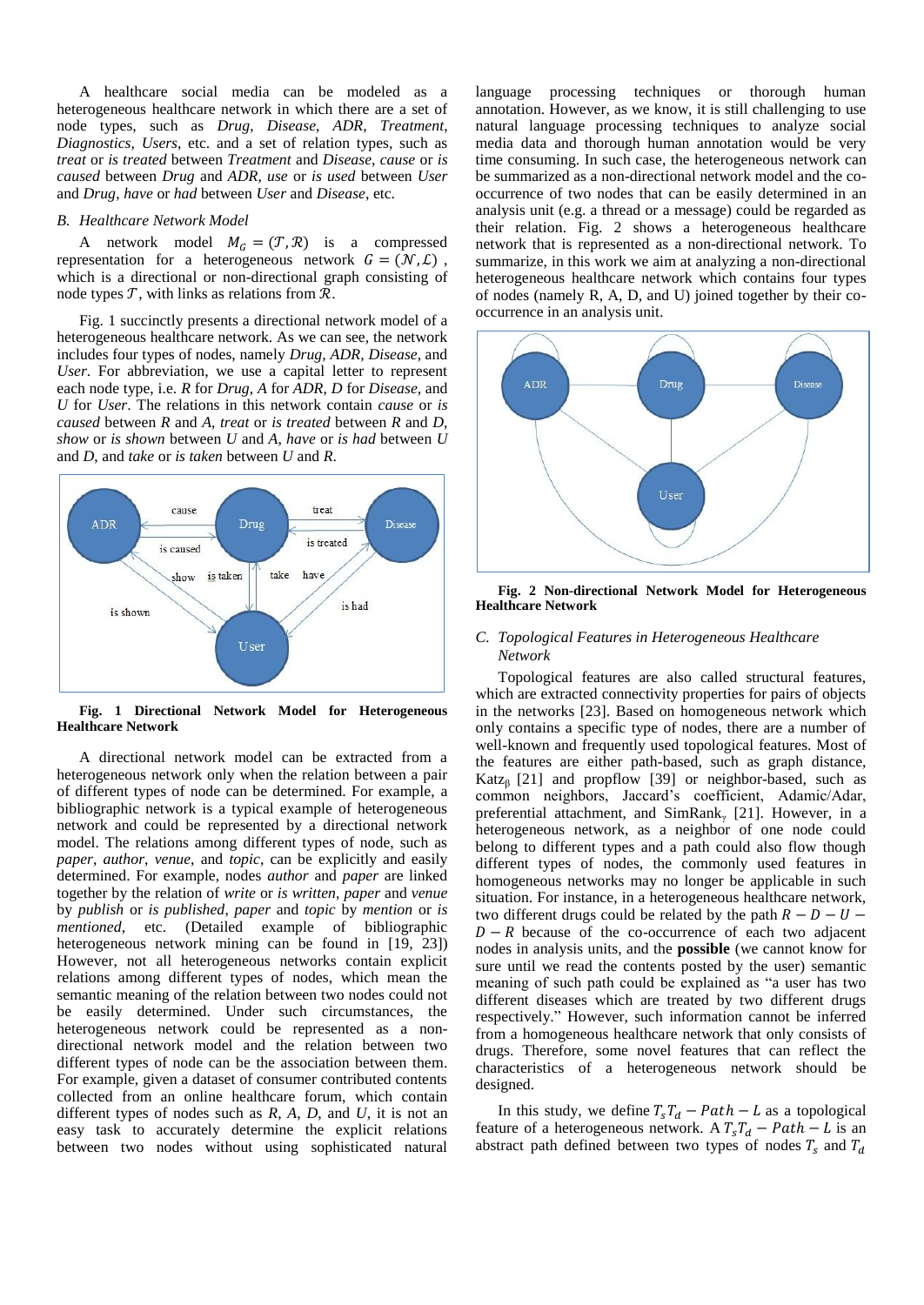A healthcare social media can be modeled as a heterogeneous healthcare network in which there are a set of node types, such as *Drug*, *Disease*, *ADR*, *Treatment*, *Diagnostics*, *Users*, etc. and a set of relation types, such as *treat* or *is treated* between *Treatment* and *Disease*, *cause* or *is caused* between *Drug* and *ADR*, *use* or *is used* between *User* and *Drug*, *have* or *had* between *User* and *Disease*, etc.

## *B. Healthcare Network Model*

A network model  $M_G = (\mathcal{T}, \mathcal{R})$  is a compressed representation for a heterogeneous network  $G = (\mathcal{N}, \mathcal{L})$ , which is a directional or non-directional graph consisting of node types  $T$ , with links as relations from  $\mathcal{R}$ .

[Fig. 1](#page-3-0) succinctly presents a directional network model of a heterogeneous healthcare network. As we can see, the network includes four types of nodes, namely *Drug*, *ADR*, *Disease*, and *User*. For abbreviation, we use a capital letter to represent each node type, i.e. *R* for *Drug*, *A* for *ADR*, *D* for *Disease*, and *U* for *User*. The relations in this network contain *cause* or *is caused* between *R* and *A*, *treat* or *is treated* between *R* and *D*, *show* or *is shown* between *U* and *A*, *have* or *is had* between *U* and *D*, and *take* or *is taken* between *U* and *R*.



<span id="page-3-0"></span>**Fig. 1 Directional Network Model for Heterogeneous Healthcare Network**

A directional network model can be extracted from a heterogeneous network only when the relation between a pair of different types of node can be determined. For example, a bibliographic network is a typical example of heterogeneous network and could be represented by a directional network model. The relations among different types of node, such as *paper*, *author*, *venue*, and *topic*, can be explicitly and easily determined. For example, nodes *author* and *paper* are linked together by the relation of *write* or *is written*, *paper* and *venue*  by *publish* or *is published*, *paper* and *topic* by *mention* or *is mentioned*, etc. (Detailed example of bibliographic heterogeneous network mining can be found in [19, 23]) However, not all heterogeneous networks contain explicit relations among different types of nodes, which mean the semantic meaning of the relation between two nodes could not be easily determined. Under such circumstances, the heterogeneous network could be represented as a nondirectional network model and the relation between two different types of node can be the association between them. For example, given a dataset of consumer contributed contents collected from an online healthcare forum, which contain different types of nodes such as *R*, *A*, *D*, and *U*, it is not an easy task to accurately determine the explicit relations between two nodes without using sophisticated natural

language processing techniques or thorough human annotation. However, as we know, it is still challenging to use natural language processing techniques to analyze social media data and thorough human annotation would be very time consuming. In such case, the heterogeneous network can be summarized as a non-directional network model and the cooccurrence of two nodes that can be easily determined in an analysis unit (e.g. a thread or a message) could be regarded as their relation. [Fig. 2](#page-3-1) shows a heterogeneous healthcare network that is represented as a non-directional network. To summarize, in this work we aim at analyzing a non-directional heterogeneous healthcare network which contains four types of nodes (namely R, A, D, and U) joined together by their cooccurrence in an analysis unit.



<span id="page-3-1"></span>**Fig. 2 Non-directional Network Model for Heterogeneous Healthcare Network**

# *C. Topological Features in Heterogeneous Healthcare Network*

Topological features are also called structural features, which are extracted connectivity properties for pairs of objects in the networks [23]. Based on homogeneous network which only contains a specific type of nodes, there are a number of well-known and frequently used topological features. Most of the features are either path-based, such as graph distance, Katz<sub>β</sub> [21] and propflow [39] or neighbor-based, such as common neighbors, Jaccard's coefficient, Adamic/Adar, preferential attachment, and SimRank<sub>γ</sub> [21]. However, in a heterogeneous network, as a neighbor of one node could belong to different types and a path could also flow though different types of nodes, the commonly used features in homogeneous networks may no longer be applicable in such situation. For instance, in a heterogeneous healthcare network, two different drugs could be related by the path  $R - D - U D - R$  because of the co-occurrence of each two adjacent nodes in analysis units, and the **possible** (we cannot know for sure until we read the contents posted by the user) semantic meaning of such path could be explained as "a user has two different diseases which are treated by two different drugs respectively." However, such information cannot be inferred from a homogeneous healthcare network that only consists of drugs. Therefore, some novel features that can reflect the characteristics of a heterogeneous network should be designed.

In this study, we define  $T_sT_d$  – Path – L as a topological feature of a heterogeneous network. A  $T_sT_d$  – Path – L is an abstract path defined between two types of nodes  $T_s$  and  $T_d$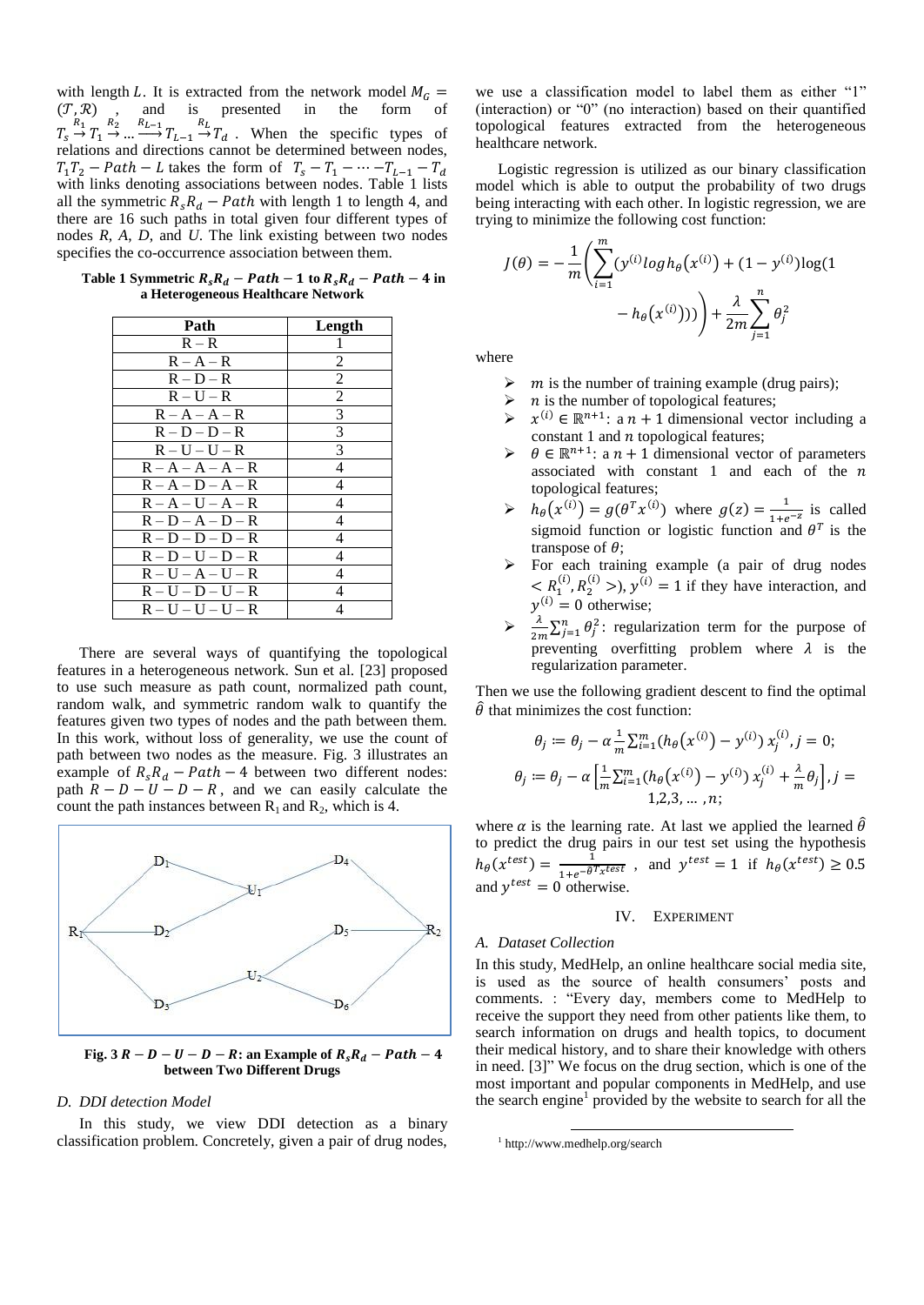with length L. It is extracted from the network model  $M_G =$  $(\mathcal{T}, \mathcal{R})$  , and is presented in the form of  $T_s \stackrel{R_1}{\rightarrow} T_1 \stackrel{R_2}{\rightarrow} \dots \stackrel{R_{L-1}}{\rightarrow} T_{L-1} \stackrel{R_L}{\rightarrow} T_d$ . When the specific types of relations and directions cannot be determined between nodes,  $T_1T_2$  – Path – L takes the form of  $T_s - T_1 - \cdots - T_{L-1} - T_d$ with links denoting associations between nodes. [Table 1](#page-4-0) lists all the symmetric  $\overline{R}_s R_d$  – Path with length 1 to length 4, and there are 16 such paths in total given four different types of nodes *R*, *A*, *D*, and *U*. The link existing between two nodes specifies the co-occurrence association between them.

<span id="page-4-0"></span>

| Table 1 Symmetric $R_s R_d$ – Path – 1 to $R_s R_d$ – Path – 4 in |  |
|-------------------------------------------------------------------|--|
| a Heterogeneous Healthcare Network                                |  |

| Path                | Length         |
|---------------------|----------------|
| $R - R$             | 1              |
| $R - A - R$         | 2              |
| $R - D - R$         | $\overline{2}$ |
| $R - U - R$         | $\overline{2}$ |
| $R - A - A - R$     | 3              |
| $R - D - D - R$     | 3              |
| $R - U - U - R$     | 3              |
| $R - A - A - A - R$ | $\overline{4}$ |
| $R - A - D - A - R$ | 4              |
| $R - A - U - A - R$ | 4              |
| $R - D - A - D - R$ | $\overline{4}$ |
| $R - D - D - D - R$ | 4              |
| $R - D - U - D - R$ | 4              |
| $R - U - A - U - R$ | 4              |
| $R - U - D - U - R$ | 4              |
| $R - U - U - U - R$ | 4              |

There are several ways of quantifying the topological features in a heterogeneous network. Sun et al. [23] proposed to use such measure as path count, normalized path count, random walk, and symmetric random walk to quantify the features given two types of nodes and the path between them. In this work, without loss of generality, we use the count of path between two nodes as the measure. [Fig. 3](#page-4-1) illustrates an example of  $R_s R_d - Path - 4$  between two different nodes: path  $R - D - U - D - R$ , and we can easily calculate the count the path instances between  $R_1$  and  $R_2$ , which is 4.



<span id="page-4-1"></span>Fig.  $3R - D - U - D - R$ : an Example of  $R_sR_d - Path - 4$ **between Two Different Drugs**

#### *D. DDI detection Model*

In this study, we view DDI detection as a binary classification problem. Concretely, given a pair of drug nodes,

we use a classification model to label them as either "1" (interaction) or  $"0"$  (no interaction) based on their quantified topological features extracted from the heterogeneous healthcare network.

Logistic regression is utilized as our binary classification model which is able to output the probability of two drugs being interacting with each other. In logistic regression, we are trying to minimize the following cost function:

$$
J(\theta) = -\frac{1}{m} \left( \sum_{i=1}^{m} (y^{(i)} log h_{\theta}(x^{(i)}) + (1 - y^{(i)}) log(1 - h_{\theta}(x^{(i)}))) \right) + \frac{\lambda}{2m} \sum_{j=1}^{n} \theta_{j}^{2}
$$

where

- $m$  is the number of training example (drug pairs);
- $n$  is the number of topological features;
- $\blacktriangleright$  $(i) \in \mathbb{R}^{n+1}$ : a  $n+1$  dimensional vector including a constant 1 and  $n$  topological features;
- $\triangleright$   $\theta \in \mathbb{R}^{n+1}$ : a  $n+1$  dimensional vector of parameters associated with constant 1 and each of the  $n$ topological features;
- $h_{\theta}(x^{(i)}) = g(\theta^{T}x^{(i)})$  where  $g(z) = \frac{1}{1+z^{i}}$  $\frac{1}{1+e^{-z}}$  is called sigmoid function or logistic function and  $\theta^T$  is the transpose of  $\theta$ ;
- $\triangleright$  For each training example (a pair of drug nodes  $\langle R_1^{(i)}, R_2^{(i)} \rangle$ ,  $y^{(i)} = 1$  if they have interaction, and  $y^{(i)} = 0$  otherwise;
- $\blacktriangleright$ λ  $\frac{\lambda}{2m}\sum_{j=1}^n \theta_j^2$ : regularization term for the purpose of preventing overfitting problem where  $\lambda$  is the regularization parameter.

Then we use the following gradient descent to find the optimal  $\hat{\theta}$  that minimizes the cost function:

$$
\theta_j := \theta_j - \alpha \frac{1}{m} \sum_{i=1}^m (h_{\theta}(x^{(i)}) - y^{(i)}) x_j^{(i)}, j = 0;
$$
  

$$
\theta_j := \theta_j - \alpha \left[ \frac{1}{m} \sum_{i=1}^m (h_{\theta}(x^{(i)}) - y^{(i)}) x_j^{(i)} + \frac{\lambda}{m} \theta_j \right], j = 1, 2, 3, ..., n;
$$

where  $\alpha$  is the learning rate. At last we applied the learned  $\hat{\theta}$ to predict the drug pairs in our test set using the hypothesis  $h_{\theta}(x^{test}) = \frac{1}{1 + e^{-\theta T_x test}}$ , and  $y^{test} = 1$  if  $h_{\theta}(x^t)$ and  $y^{test} = 0$  otherwise.

#### IV. EXPERIMENT

## *A. Dataset Collection*

In this study, MedHelp, an online healthcare social media site, is used as the source of health consumers' posts and comments. : "Every day, members come to MedHelp to receive the support they need from other patients like them, to search information on drugs and health topics, to document their medical history, and to share their knowledge with others in need.  $[3]$ " We focus on the drug section, which is one of the most important and popular components in MedHelp, and use the search engine<sup>1</sup> provided by the website to search for all the

<sup>-</sup>1 http://www.medhelp.org/search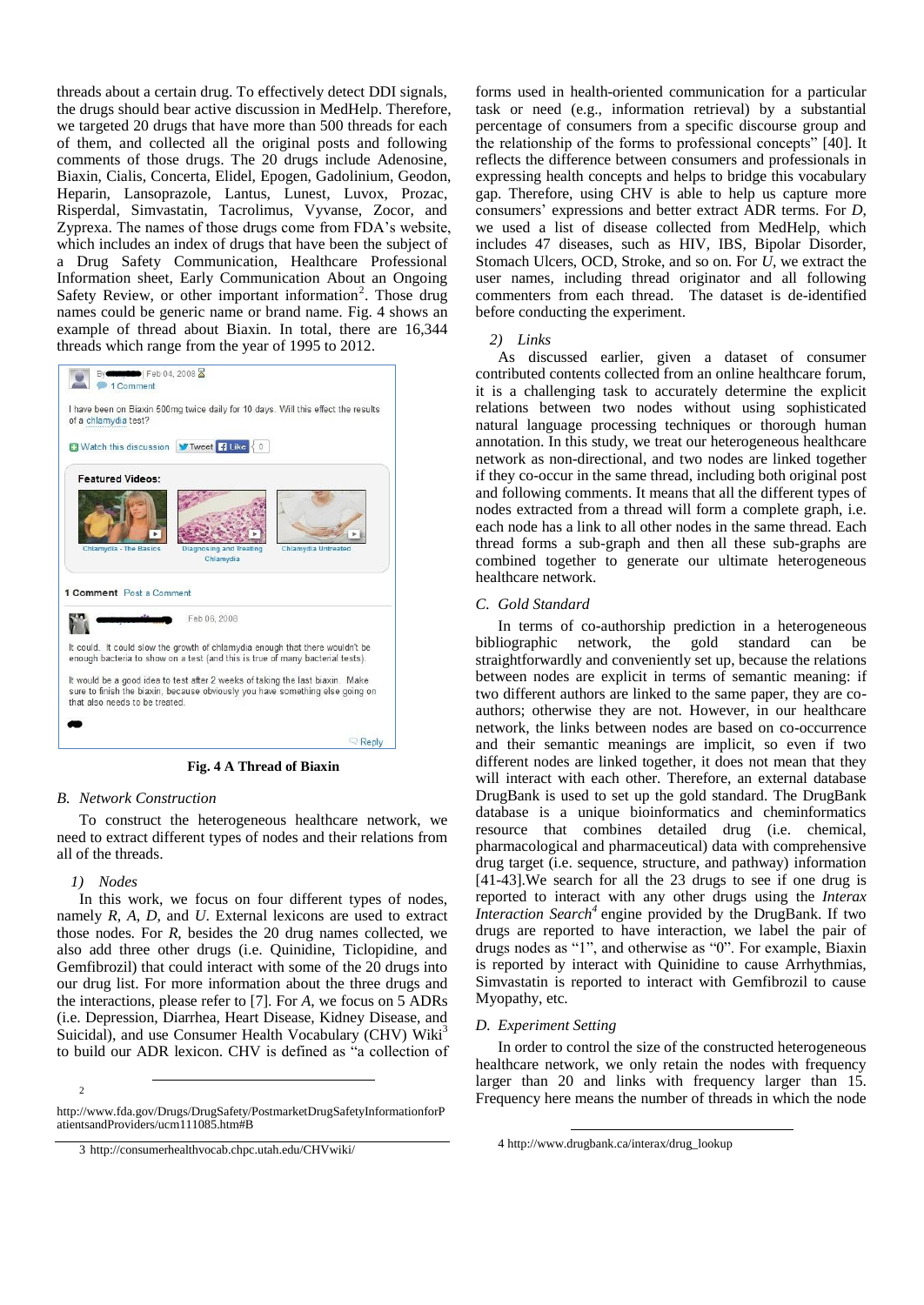threads about a certain drug. To effectively detect DDI signals, the drugs should bear active discussion in MedHelp. Therefore, we targeted 20 drugs that have more than 500 threads for each of them, and collected all the original posts and following comments of those drugs. The 20 drugs include Adenosine, Biaxin, Cialis, Concerta, Elidel, Epogen, Gadolinium, Geodon, Heparin, Lansoprazole, Lantus, Lunest, Luvox, Prozac, Risperdal, Simvastatin, Tacrolimus, Vyvanse, Zocor, and Zyprexa. The names of those drugs come from FDA's website, which includes an index of drugs that have been the subject of a Drug Safety Communication, Healthcare Professional Information sheet, Early Communication About an Ongoing Safety Review, or other important information<sup>2</sup>. Those drug names could be generic name or brand name. [Fig. 4](#page-5-0) shows an example of thread about Biaxin*.* In total, there are 16,344 threads which range from the year of 1995 to 2012.



**Fig. 4 A Thread of Biaxin**

#### <span id="page-5-0"></span>*B. Network Construction*

To construct the heterogeneous healthcare network, we need to extract different types of nodes and their relations from all of the threads.

#### *1) Nodes*

In this work, we focus on four different types of nodes, namely *R*, *A*, *D*, and *U*. External lexicons are used to extract those nodes. For *R*, besides the 20 drug names collected, we also add three other drugs (i.e. Quinidine, Ticlopidine, and Gemfibrozil) that could interact with some of the 20 drugs into our drug list. For more information about the three drugs and the interactions, please refer to [7]. For *A*, we focus on 5 ADRs (i.e. Depression, Diarrhea, Heart Disease, Kidney Disease, and Suicidal), and use Consumer Health Vocabulary (CHV) Wiki<sup>3</sup> to build our ADR lexicon. CHV is defined as "a collection of

 $\overline{2}$ 

1

http://www.fda.gov/Drugs/DrugSafety/PostmarketDrugSafetyInformationforP atientsandProviders/ucm111085.htm#B

forms used in health-oriented communication for a particular task or need (e.g., information retrieval) by a substantial percentage of consumers from a specific discourse group and the relationship of the forms to professional concepts" [40]. It reflects the difference between consumers and professionals in expressing health concepts and helps to bridge this vocabulary gap. Therefore, using CHV is able to help us capture more consumers' expressions and better extract ADR terms. For *D*, we used a list of disease collected from MedHelp, which includes 47 diseases, such as HIV, IBS, Bipolar Disorder, Stomach Ulcers, OCD, Stroke, and so on. For  $\hat{U}$ , we extract the user names, including thread originator and all following commenters from each thread. The dataset is de-identified before conducting the experiment.

#### *2) Links*

As discussed earlier, given a dataset of consumer contributed contents collected from an online healthcare forum, it is a challenging task to accurately determine the explicit relations between two nodes without using sophisticated natural language processing techniques or thorough human annotation. In this study, we treat our heterogeneous healthcare network as non-directional, and two nodes are linked together if they co-occur in the same thread, including both original post and following comments. It means that all the different types of nodes extracted from a thread will form a complete graph, i.e. each node has a link to all other nodes in the same thread. Each thread forms a sub-graph and then all these sub-graphs are combined together to generate our ultimate heterogeneous healthcare network.

#### *C. Gold Standard*

In terms of co-authorship prediction in a heterogeneous bibliographic network, the gold standard can be straightforwardly and conveniently set up, because the relations between nodes are explicit in terms of semantic meaning: if two different authors are linked to the same paper, they are coauthors; otherwise they are not. However, in our healthcare network, the links between nodes are based on co-occurrence and their semantic meanings are implicit, so even if two different nodes are linked together, it does not mean that they will interact with each other. Therefore, an external database DrugBank is used to set up the gold standard. The DrugBank database is a unique bioinformatics and cheminformatics resource that combines detailed drug (i.e. chemical, pharmacological and pharmaceutical) data with comprehensive drug target (i.e. sequence, structure, and pathway) information [41-43].We search for all the 23 drugs to see if one drug is reported to interact with any other drugs using the *Interax Interaction Search<sup>4</sup>* engine provided by the DrugBank. If two drugs are reported to have interaction, we label the pair of drugs nodes as "1", and otherwise as "0". For example, Biaxin is reported by interact with Quinidine to cause Arrhythmias, Simvastatin is reported to interact with Gemfibrozil to cause Myopathy, etc.

#### *D. Experiment Setting*

In order to control the size of the constructed heterogeneous healthcare network, we only retain the nodes with frequency larger than 20 and links with frequency larger than 15. Frequency here means the number of threads in which the node

-

<sup>3</sup> http://consumerhealthvocab.chpc.utah.edu/CHVwiki/

<sup>4</sup> http://www.drugbank.ca/interax/drug\_lookup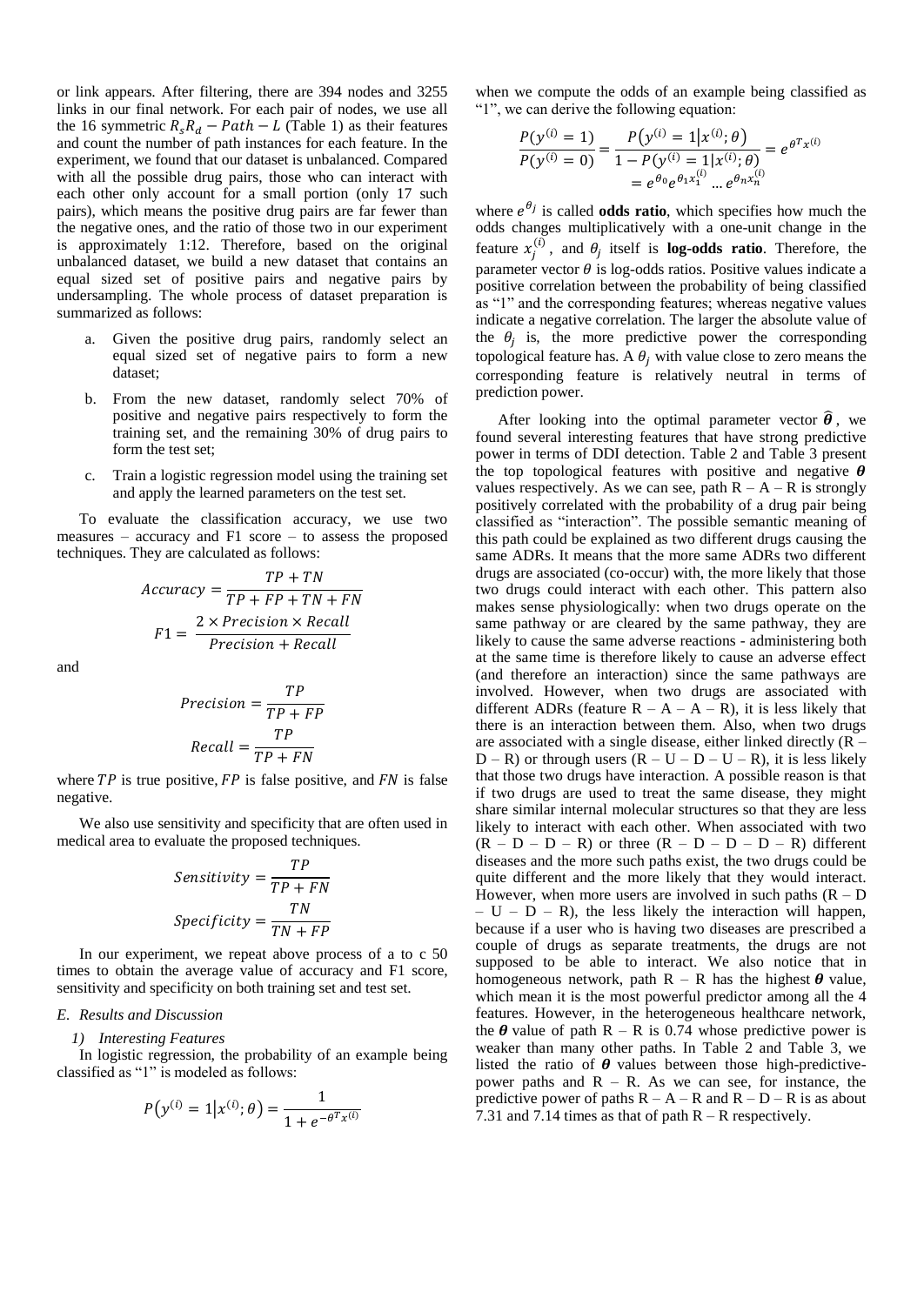or link appears. After filtering, there are 394 nodes and 3255 links in our final network. For each pair of nodes, we use all the 16 symmetric  $R_s R_d - Path - L$  [\(Table 1\)](#page-4-0) as their features and count the number of path instances for each feature. In the experiment, we found that our dataset is unbalanced. Compared with all the possible drug pairs, those who can interact with each other only account for a small portion (only 17 such pairs), which means the positive drug pairs are far fewer than the negative ones, and the ratio of those two in our experiment is approximately 1:12. Therefore, based on the original unbalanced dataset, we build a new dataset that contains an equal sized set of positive pairs and negative pairs by undersampling. The whole process of dataset preparation is summarized as follows:

- Given the positive drug pairs, randomly select an equal sized set of negative pairs to form a new dataset;
- b. From the new dataset, randomly select 70% of positive and negative pairs respectively to form the training set, and the remaining 30% of drug pairs to form the test set;
- Train a logistic regression model using the training set and apply the learned parameters on the test set.

To evaluate the classification accuracy, we use two measures – accuracy and F1 score – to assess the proposed techniques. They are calculated as follows:

$$
Accuracy = \frac{TP + TN}{TP + FP + TN + FN}
$$

$$
F1 = \frac{2 \times Precision \times Recall}{Precision + Recall}
$$

and

$$
Precision = \frac{TP}{TP + FP}
$$

$$
Recall = \frac{TP}{TP + FN}
$$

where  $TP$  is true positive,  $FP$  is false positive, and  $FN$  is false negative.

We also use sensitivity and specificity that are often used in medical area to evaluate the proposed techniques.

$$
Sensitivity = \frac{TP}{TP + FN}
$$

$$
Specificity = \frac{TN}{TN + FP}
$$

In our experiment, we repeat above process of a to c 50 times to obtain the average value of accuracy and F1 score, sensitivity and specificity on both training set and test set.

#### *E. Results and Discussion*

*1) Interesting Features*

In logistic regression, the probability of an example being classified as "1" is modeled as follows:

$$
P(y^{(i)} = 1 | x^{(i)}; \theta) = \frac{1}{1 + e^{-\theta^T x^{(i)}}}
$$

when we compute the odds of an example being classified as "1", we can derive the following equation:

$$
\frac{P(y^{(i)} = 1)}{P(y^{(i)} = 0)} = \frac{P(y^{(i)} = 1 | x^{(i)}; \theta)}{1 - P(y^{(i)} = 1 | x^{(i)}; \theta)} = e^{\theta^T x^{(i)}} = e^{\theta_0} e^{\theta_1 x_1^{(i)}} \dots e^{\theta_n x_n^{(i)}}
$$

where  $e^{\theta_j}$  is called **odds ratio**, which specifies how much the odds changes multiplicatively with a one-unit change in the feature  $x_i^{(i)}$ , and  $\theta_i$  itself is **log-odds ratio**. Therefore, the parameter vector  $\theta$  is log-odds ratios. Positive values indicate a positive correlation between the probability of being classified as "1" and the corresponding features; whereas negative values indicate a negative correlation. The larger the absolute value of the  $\theta_i$  is, the more predictive power the corresponding topological feature has. A  $\theta_j$  with value close to zero means the corresponding feature is relatively neutral in terms of prediction power.

After looking into the optimal parameter vector  $\hat{\theta}$ , we found several interesting features that have strong predictive power in terms of DDI detection. [Table 2](#page-7-0) and [Table 3](#page-7-1) present the top topological features with positive and negative  $\theta$ values respectively. As we can see, path  $R - A - R$  is strongly positively correlated with the probability of a drug pair being classified as "interaction". The possible semantic meaning of this path could be explained as two different drugs causing the same ADRs. It means that the more same ADRs two different drugs are associated (co-occur) with, the more likely that those two drugs could interact with each other. This pattern also makes sense physiologically: when two drugs operate on the same pathway or are cleared by the same pathway, they are likely to cause the same adverse reactions - administering both at the same time is therefore likely to cause an adverse effect (and therefore an interaction) since the same pathways are involved. However, when two drugs are associated with different ADRs (feature  $R - A - A - R$ ), it is less likely that there is an interaction between them. Also, when two drugs are associated with a single disease, either linked directly (R –  $D - R$ ) or through users  $(R - U - D - U - R)$ , it is less likely that those two drugs have interaction. A possible reason is that if two drugs are used to treat the same disease, they might share similar internal molecular structures so that they are less likely to interact with each other. When associated with two  $(R - D - D - R)$  or three  $(R - D - D - D - R)$  different diseases and the more such paths exist, the two drugs could be quite different and the more likely that they would interact. However, when more users are involved in such paths  $(R - D)$ –  $U - D - R$ ), the less likely the interaction will happen, because if a user who is having two diseases are prescribed a couple of drugs as separate treatments, the drugs are not supposed to be able to interact. We also notice that in homogeneous network, path  $R - R$  has the highest  $\theta$  value, which mean it is the most powerful predictor among all the 4 features. However, in the heterogeneous healthcare network, the  $\theta$  value of path R – R is 0.74 whose predictive power is weaker than many other paths. In [Table 2](#page-7-0) and [Table 3,](#page-7-1) we listed the ratio of  $\theta$  values between those high-predictivepower paths and  $R - R$ . As we can see, for instance, the predictive power of paths  $R - A - R$  and  $R - D - R$  is as about 7.31 and 7.14 times as that of path R – R respectively.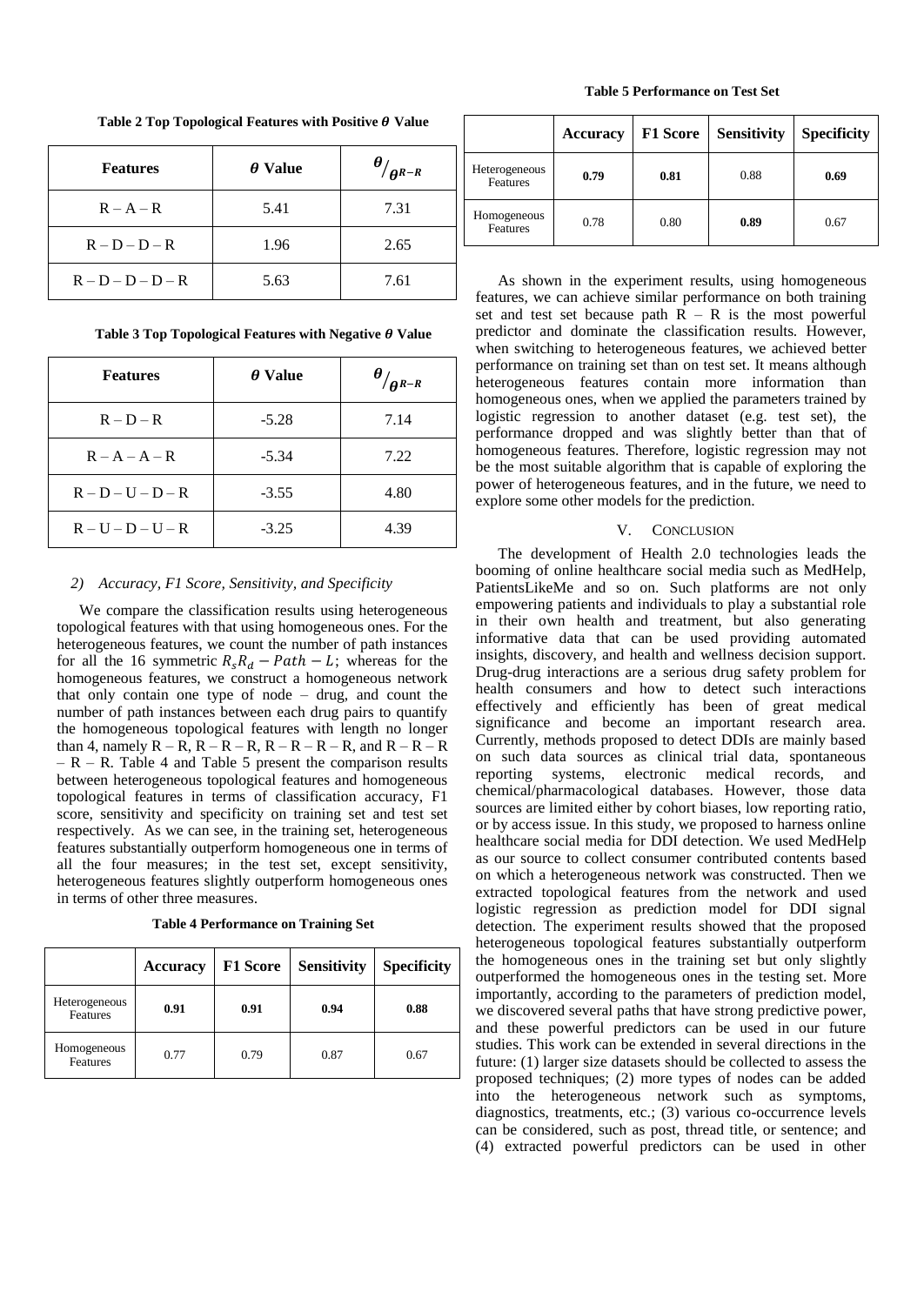<span id="page-7-0"></span>**Features** *e* **Value**  $\theta/_{\theta^{R-R}}$  $R - A - R$   $5.41$   $7.31$  $R - D - D - R$  1.96 2.65  $R - D - D - R$  5.63 7.61

Table 2 Top Topological Features with Positive  $\theta$  Value

**Table 3 Top Topological Features with Negative**  $\theta$  **Value** 

<span id="page-7-1"></span>

| <b>Features</b>     | $\theta$ Value | $\theta/_{\theta^{R-R}}$ |
|---------------------|----------------|--------------------------|
| $R - D - R$         | $-5.28$        | 7.14                     |
| $R - A - A - R$     | $-5.34$        | 7.22                     |
| $R - D - U - D - R$ | $-3.55$        | 4.80                     |
| $R - U - D - U - R$ | $-3.25$        | 4.39                     |

# *2) Accuracy, F1 Score, Sensitivity, and Specificity*

We compare the classification results using heterogeneous topological features with that using homogeneous ones. For the heterogeneous features, we count the number of path instances for all the 16 symmetric  $R_s R_d - Path - L$ ; whereas for the homogeneous features, we construct a homogeneous network that only contain one type of node – drug, and count the number of path instances between each drug pairs to quantify the homogeneous topological features with length no longer than 4, namely  $R - R$ ,  $R - R - R$ ,  $R - R - R$ , and  $R - R - R$  $- R - R$ . [Table 4](#page-7-2) and [Table 5](#page-7-3) present the comparison results between heterogeneous topological features and homogeneous topological features in terms of classification accuracy, F1 score, sensitivity and specificity on training set and test set respectively. As we can see, in the training set, heterogeneous features substantially outperform homogeneous one in terms of all the four measures; in the test set, except sensitivity, heterogeneous features slightly outperform homogeneous ones in terms of other three measures.

**Table 4 Performance on Training Set**

<span id="page-7-2"></span>

|                           | <b>Accuracy</b> | <b>F1 Score</b> | <b>Sensitivity</b> | <b>Specificity</b> |
|---------------------------|-----------------|-----------------|--------------------|--------------------|
| Heterogeneous<br>Features | 0.91            | 0.91            | 0.94               | 0.88               |
| Homogeneous<br>Features   | 0.77            | 0.79            | 0.87               | 0.67               |

<span id="page-7-3"></span>

|                                | <b>Accuracy</b> | <b>F1 Score</b> | <b>Sensitivity</b> | <b>Specificity</b> |
|--------------------------------|-----------------|-----------------|--------------------|--------------------|
| Heterogeneous<br>Features      | 0.79            | 0.81            | 0.88               | 0.69               |
| Homogeneous<br><b>Features</b> | 0.78            | 0.80            | 0.89               | 0.67               |

As shown in the experiment results, using homogeneous features, we can achieve similar performance on both training set and test set because path  $\overrightarrow{R}$  – R is the most powerful predictor and dominate the classification results. However, when switching to heterogeneous features, we achieved better performance on training set than on test set. It means although heterogeneous features contain more information than homogeneous ones, when we applied the parameters trained by logistic regression to another dataset (e.g. test set), the performance dropped and was slightly better than that of homogeneous features. Therefore, logistic regression may not be the most suitable algorithm that is capable of exploring the power of heterogeneous features, and in the future, we need to explore some other models for the prediction.

#### V. CONCLUSION

The development of Health 2.0 technologies leads the booming of online healthcare social media such as MedHelp, PatientsLikeMe and so on. Such platforms are not only empowering patients and individuals to play a substantial role in their own health and treatment, but also generating informative data that can be used providing automated insights, discovery, and health and wellness decision support. Drug-drug interactions are a serious drug safety problem for health consumers and how to detect such interactions effectively and efficiently has been of great medical significance and become an important research area. Currently, methods proposed to detect DDIs are mainly based on such data sources as clinical trial data, spontaneous reporting systems, electronic medical records, and chemical/pharmacological databases. However, those data sources are limited either by cohort biases, low reporting ratio, or by access issue. In this study, we proposed to harness online healthcare social media for DDI detection. We used MedHelp as our source to collect consumer contributed contents based on which a heterogeneous network was constructed. Then we extracted topological features from the network and used logistic regression as prediction model for DDI signal detection. The experiment results showed that the proposed heterogeneous topological features substantially outperform the homogeneous ones in the training set but only slightly outperformed the homogeneous ones in the testing set. More importantly, according to the parameters of prediction model, we discovered several paths that have strong predictive power, and these powerful predictors can be used in our future studies. This work can be extended in several directions in the future: (1) larger size datasets should be collected to assess the proposed techniques; (2) more types of nodes can be added into the heterogeneous network such as symptoms, diagnostics, treatments, etc.; (3) various co-occurrence levels can be considered, such as post, thread title, or sentence; and (4) extracted powerful predictors can be used in other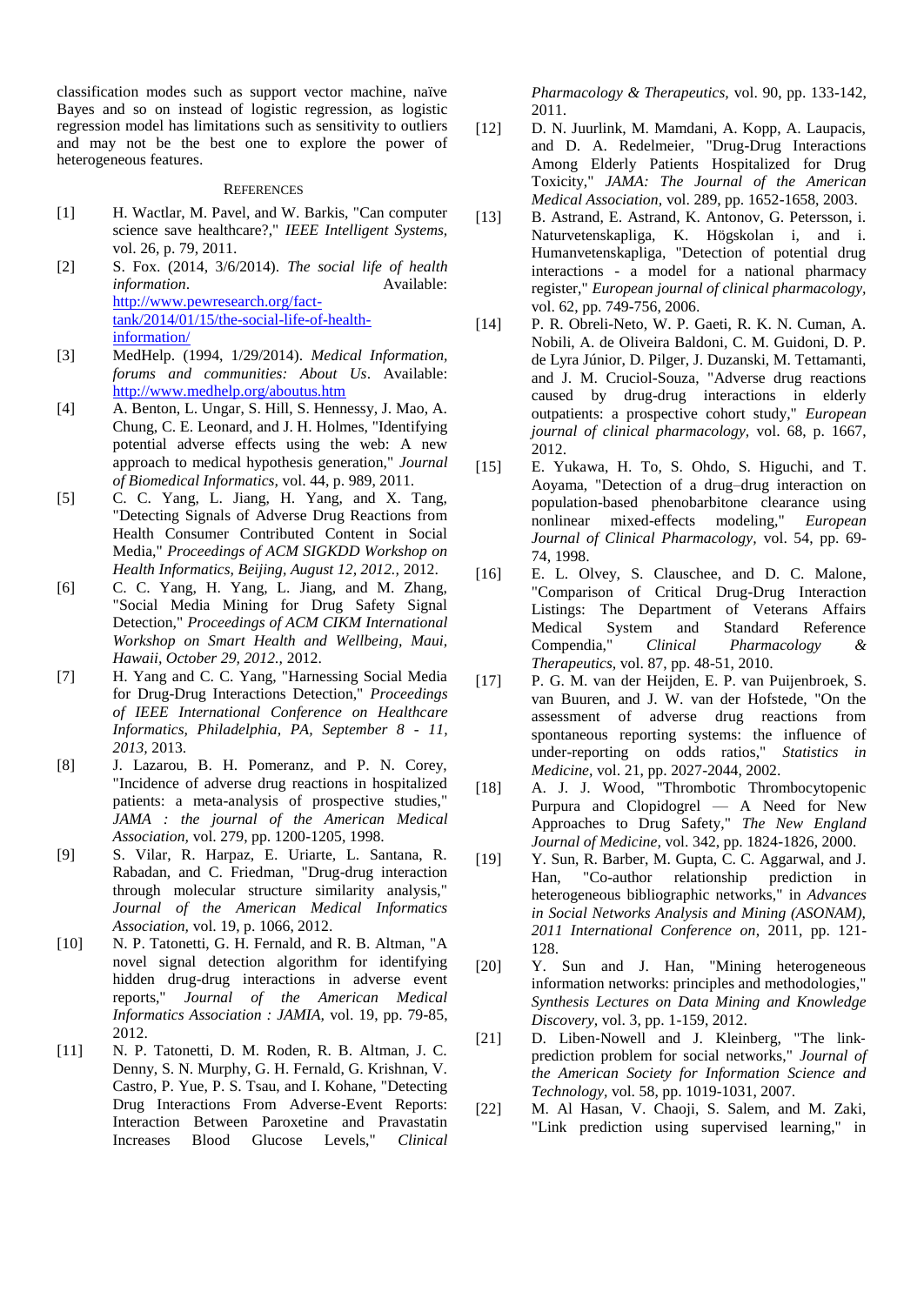classification modes such as support vector machine, naïve Bayes and so on instead of logistic regression, as logistic regression model has limitations such as sensitivity to outliers and may not be the best one to explore the power of heterogeneous features.

#### **REFERENCES**

- [1] H. Wactlar, M. Pavel, and W. Barkis, "Can computer science save healthcare?," *IEEE Intelligent Systems,*  vol. 26, p. 79, 2011.
- [2] S. Fox. (2014, 3/6/2014). *The social life of health information*. Available: [http://www.pewresearch.org/fact](http://www.pewresearch.org/fact-tank/2014/01/15/the-social-life-of-health-information/)[tank/2014/01/15/the-social-life-of-health](http://www.pewresearch.org/fact-tank/2014/01/15/the-social-life-of-health-information/)[information/](http://www.pewresearch.org/fact-tank/2014/01/15/the-social-life-of-health-information/)
- [3] MedHelp. (1994, 1/29/2014). *Medical Information, forums and communities: About Us*. Available: <http://www.medhelp.org/aboutus.htm>
- [4] A. Benton, L. Ungar, S. Hill, S. Hennessy, J. Mao, A. Chung, C. E. Leonard, and J. H. Holmes, "Identifying potential adverse effects using the web: A new approach to medical hypothesis generation," *Journal of Biomedical Informatics,* vol. 44, p. 989, 2011.
- [5] C. C. Yang, L. Jiang, H. Yang, and X. Tang, "Detecting Signals of Adverse Drug Reactions from Health Consumer Contributed Content in Social Media," *Proceedings of ACM SIGKDD Workshop on Health Informatics, Beijing, August 12, 2012.,* 2012.
- [6] C. C. Yang, H. Yang, L. Jiang, and M. Zhang, "Social Media Mining for Drug Safety Signal Detection," *Proceedings of ACM CIKM International Workshop on Smart Health and Wellbeing, Maui, Hawaii, October 29, 2012.,* 2012.
- [7] H. Yang and C. C. Yang, "Harnessing Social Media for Drug-Drug Interactions Detection," *Proceedings of IEEE International Conference on Healthcare Informatics, Philadelphia, PA, September 8 - 11, 2013,* 2013.
- [8] J. Lazarou, B. H. Pomeranz, and P. N. Corey, "Incidence of adverse drug reactions in hospitalized patients: a meta-analysis of prospective studies," *JAMA : the journal of the American Medical Association,* vol. 279, pp. 1200-1205, 1998.
- [9] S. Vilar, R. Harpaz, E. Uriarte, L. Santana, R. Rabadan, and C. Friedman, "Drug-drug interaction through molecular structure similarity analysis," *Journal of the American Medical Informatics Association,* vol. 19, p. 1066, 2012.
- [10] N. P. Tatonetti, G. H. Fernald, and R. B. Altman, "A novel signal detection algorithm for identifying hidden drug-drug interactions in adverse event reports," *Journal of the American Medical Informatics Association : JAMIA,* vol. 19, pp. 79-85, 2012.
- [11] N. P. Tatonetti, D. M. Roden, R. B. Altman, J. C. Denny, S. N. Murphy, G. H. Fernald, G. Krishnan, V. Castro, P. Yue, P. S. Tsau, and I. Kohane, "Detecting Drug Interactions From Adverse-Event Reports: Interaction Between Paroxetine and Pravastatin Increases Blood Glucose Levels," *Clinical*

*Pharmacology & Therapeutics,* vol. 90, pp. 133-142, 2011.

- [12] D. N. Juurlink, M. Mamdani, A. Kopp, A. Laupacis, and D. A. Redelmeier, "Drug-Drug Interactions Among Elderly Patients Hospitalized for Drug Toxicity," *JAMA: The Journal of the American Medical Association,* vol. 289, pp. 1652-1658, 2003.
- [13] B. Astrand, E. Astrand, K. Antonov, G. Petersson, i. Naturvetenskapliga, K. Högskolan i, and i. Humanvetenskapliga, "Detection of potential drug interactions - a model for a national pharmacy register," *European journal of clinical pharmacology,*  vol. 62, pp. 749-756, 2006.
- [14] P. R. Obreli-Neto, W. P. Gaeti, R. K. N. Cuman, A. Nobili, A. de Oliveira Baldoni, C. M. Guidoni, D. P. de Lyra Júnior, D. Pilger, J. Duzanski, M. Tettamanti, and J. M. Cruciol-Souza, "Adverse drug reactions caused by drug-drug interactions in elderly outpatients: a prospective cohort study," *European journal of clinical pharmacology,* vol. 68, p. 1667, 2012.
- [15] E. Yukawa, H. To, S. Ohdo, S. Higuchi, and T. Aoyama, "Detection of a drug–drug interaction on population-based phenobarbitone clearance using nonlinear mixed-effects modeling," *European Journal of Clinical Pharmacology,* vol. 54, pp. 69- 74, 1998.
- [16] E. L. Olvey, S. Clauschee, and D. C. Malone, "Comparison of Critical Drug-Drug Interaction Listings: The Department of Veterans Affairs Medical System and Standard Reference Compendia," *Clinical Pharmacology & Therapeutics,* vol. 87, pp. 48-51, 2010.
- [17] P. G. M. van der Heijden, E. P. van Puijenbroek, S. van Buuren, and J. W. van der Hofstede, "On the assessment of adverse drug reactions from spontaneous reporting systems: the influence of under-reporting on odds ratios," *Statistics in Medicine,* vol. 21, pp. 2027-2044, 2002.
- [18] A. J. J. Wood, "Thrombotic Thrombocytopenic Purpura and Clopidogrel — A Need for New Approaches to Drug Safety," *The New England Journal of Medicine,* vol. 342, pp. 1824-1826, 2000.
- [19] Y. Sun, R. Barber, M. Gupta, C. C. Aggarwal, and J. Han, "Co-author relationship prediction in heterogeneous bibliographic networks," in *Advances in Social Networks Analysis and Mining (ASONAM), 2011 International Conference on*, 2011, pp. 121- 128.
- [20] Y. Sun and J. Han, "Mining heterogeneous information networks: principles and methodologies," *Synthesis Lectures on Data Mining and Knowledge Discovery,* vol. 3, pp. 1-159, 2012.
- [21] D. Liben-Nowell and J. Kleinberg, "The linkprediction problem for social networks," *Journal of the American Society for Information Science and Technology,* vol. 58, pp. 1019-1031, 2007.
- [22] M. Al Hasan, V. Chaoji, S. Salem, and M. Zaki, "Link prediction using supervised learning," in